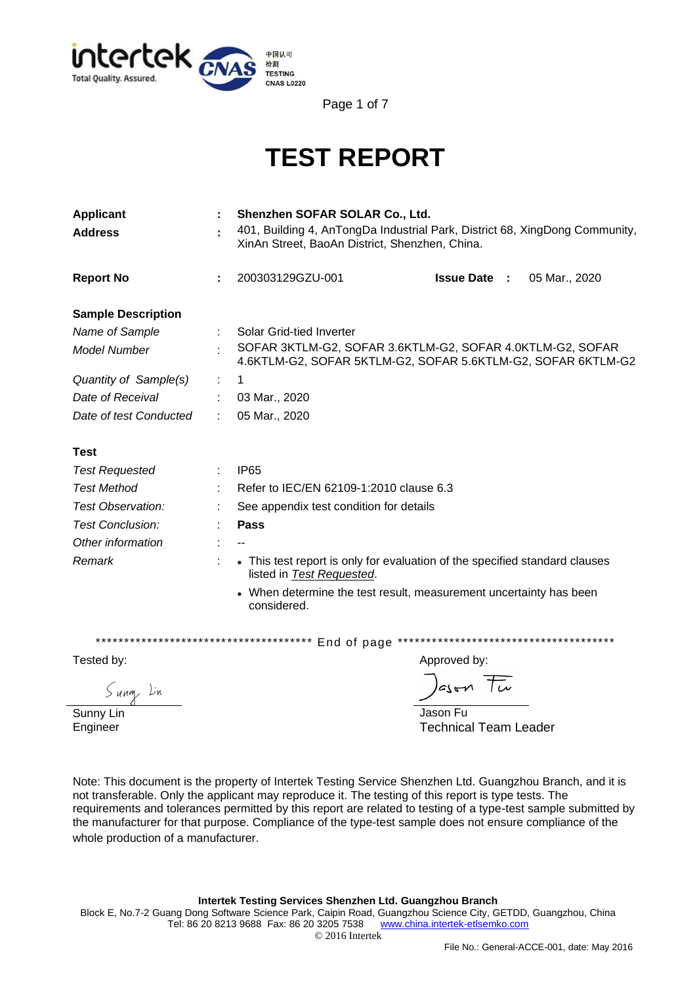

Page 1 of 7

# **TEST REPORT**

| <b>Applicant</b>                      |              | Shenzhen SOFAR SOLAR Co., Ltd.                                                                                                |                                                                             |  |  |  |  |
|---------------------------------------|--------------|-------------------------------------------------------------------------------------------------------------------------------|-----------------------------------------------------------------------------|--|--|--|--|
| <b>Address</b>                        |              | 401, Building 4, AnTongDa Industrial Park, District 68, XingDong Community,<br>XinAn Street, BaoAn District, Shenzhen, China. |                                                                             |  |  |  |  |
| <b>Report No</b>                      |              | 200303129GZU-001                                                                                                              | <b>Issue Date :</b><br>05 Mar., 2020                                        |  |  |  |  |
| <b>Sample Description</b>             |              |                                                                                                                               |                                                                             |  |  |  |  |
| Name of Sample                        |              | Solar Grid-tied Inverter                                                                                                      |                                                                             |  |  |  |  |
| <b>Model Number</b>                   |              | SOFAR 3KTLM-G2, SOFAR 3.6KTLM-G2, SOFAR 4.0KTLM-G2, SOFAR<br>4.6KTLM-G2, SOFAR 5KTLM-G2, SOFAR 5.6KTLM-G2, SOFAR 6KTLM-G2     |                                                                             |  |  |  |  |
| Quantity of Sample(s)                 |              | 1                                                                                                                             |                                                                             |  |  |  |  |
| Date of Receival                      |              | 03 Mar., 2020                                                                                                                 |                                                                             |  |  |  |  |
| Date of test Conducted                |              | 05 Mar., 2020                                                                                                                 |                                                                             |  |  |  |  |
| <b>Test</b>                           |              |                                                                                                                               |                                                                             |  |  |  |  |
| <b>Test Requested</b>                 |              | <b>IP65</b>                                                                                                                   |                                                                             |  |  |  |  |
| <b>Test Method</b>                    |              | Refer to IEC/EN 62109-1:2010 clause 6.3                                                                                       |                                                                             |  |  |  |  |
| Test Observation:                     |              | See appendix test condition for details                                                                                       |                                                                             |  |  |  |  |
| <b>Test Conclusion:</b>               |              | <b>Pass</b>                                                                                                                   |                                                                             |  |  |  |  |
| Other information                     |              |                                                                                                                               |                                                                             |  |  |  |  |
| Remark<br>listed in Test Requested.   |              |                                                                                                                               | • This test report is only for evaluation of the specified standard clauses |  |  |  |  |
|                                       |              | considered.                                                                                                                   | • When determine the test result, measurement uncertainty has been          |  |  |  |  |
| ************************************* |              | End of page                                                                                                                   | **************************************                                      |  |  |  |  |
| Tested by:                            | Approved by: |                                                                                                                               |                                                                             |  |  |  |  |
|                                       |              |                                                                                                                               |                                                                             |  |  |  |  |

Sunny Lin

Jason Tu Jason Fu Technical Team Leader

Sunny Lin Engineer

Note: This document is the property of Intertek Testing Service Shenzhen Ltd. Guangzhou Branch, and it is not transferable. Only the applicant may reproduce it. The testing of this report is type tests. The requirements and tolerances permitted by this report are related to testing of a type-test sample submitted by the manufacturer for that purpose. Compliance of the type-test sample does not ensure compliance of the whole production of a manufacturer.

#### **Intertek Testing Services Shenzhen Ltd. Guangzhou Branch**

Block E, No.7-2 Guang Dong Software Science Park, Caipin Road, Guangzhou Science City, GETDD, Guangzhou, China Tel: 86 20 8213 9688 Fax: 86 20 3205 7538 [www.china.intertek-etlsemko.com](http://www.china.intertek-etlsemko.com/) © 2016 Intertek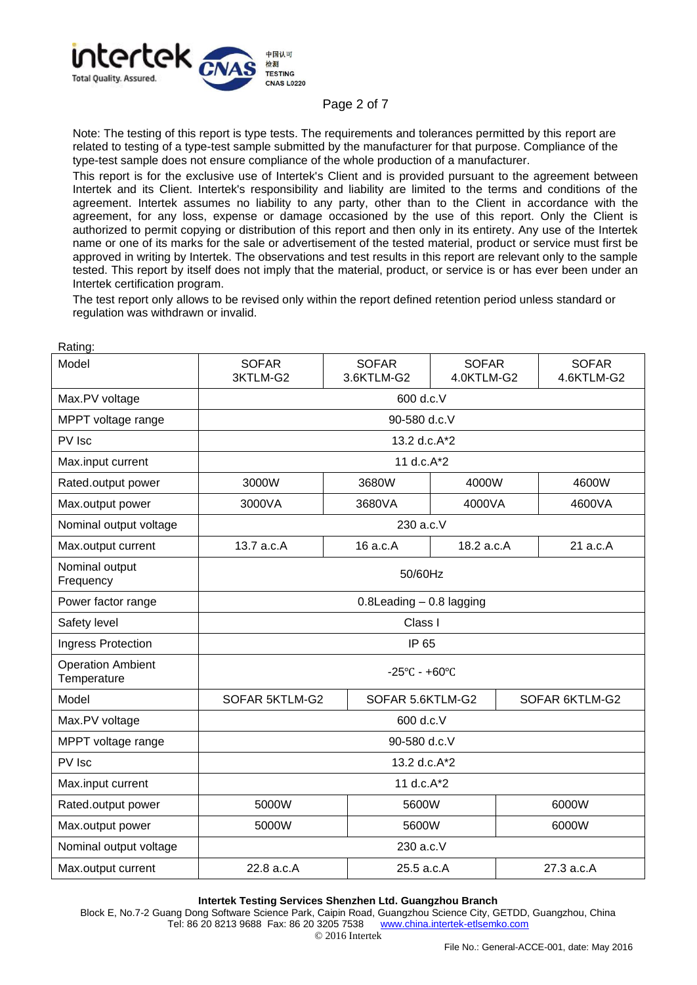

### Page 2 of 7

Note: The testing of this report is type tests. The requirements and tolerances permitted by this report are related to testing of a type-test sample submitted by the manufacturer for that purpose. Compliance of the type-test sample does not ensure compliance of the whole production of a manufacturer.

This report is for the exclusive use of Intertek's Client and is provided pursuant to the agreement between Intertek and its Client. Intertek's responsibility and liability are limited to the terms and conditions of the agreement. Intertek assumes no liability to any party, other than to the Client in accordance with the agreement, for any loss, expense or damage occasioned by the use of this report. Only the Client is authorized to permit copying or distribution of this report and then only in its entirety. Any use of the Intertek name or one of its marks for the sale or advertisement of the tested material, product or service must first be approved in writing by Intertek. The observations and test results in this report are relevant only to the sample tested. This report by itself does not imply that the material, product, or service is or has ever been under an Intertek certification program.

The test report only allows to be revised only within the report defined retention period unless standard or regulation was withdrawn or invalid.

| Model                                   | <b>SOFAR</b><br>3KTLM-G2           | <b>SOFAR</b><br>3.6KTLM-G2 | <b>SOFAR</b><br>4.0KTLM-G2         | <b>SOFAR</b><br>4.6KTLM-G2 |  |
|-----------------------------------------|------------------------------------|----------------------------|------------------------------------|----------------------------|--|
| Max.PV voltage                          | 600 d.c.V                          |                            |                                    |                            |  |
| MPPT voltage range                      | 90-580 d.c.V                       |                            |                                    |                            |  |
| PV Isc                                  | 13.2 d.c.A*2                       |                            |                                    |                            |  |
| Max.input current                       | 11 d.c.A*2                         |                            |                                    |                            |  |
| Rated.output power                      | 3000W                              | 3680W                      | 4000W                              | 4600W                      |  |
| Max.output power                        | 3000VA                             | 3680VA                     | 4000VA                             | 4600VA                     |  |
| Nominal output voltage                  | 230 a.c.V                          |                            |                                    |                            |  |
| Max.output current                      | 13.7 a.c.A                         | 16 a.c.A                   | 18.2 a.c.A                         | 21 a.c.A                   |  |
| Nominal output<br>Frequency             | 50/60Hz                            |                            |                                    |                            |  |
| Power factor range                      | 0.8Leading - 0.8 lagging           |                            |                                    |                            |  |
| Safety level                            | Class I                            |                            |                                    |                            |  |
| Ingress Protection                      | IP 65                              |                            |                                    |                            |  |
| <b>Operation Ambient</b><br>Temperature | $-25^{\circ}$ C - +60 $^{\circ}$ C |                            |                                    |                            |  |
| Model                                   | SOFAR 5KTLM-G2                     |                            | SOFAR 5.6KTLM-G2<br>SOFAR 6KTLM-G2 |                            |  |
| Max.PV voltage                          | 600 d.c.V                          |                            |                                    |                            |  |
| MPPT voltage range                      | 90-580 d.c.V                       |                            |                                    |                            |  |
| PV Isc                                  | 13.2 d.c.A*2                       |                            |                                    |                            |  |
| Max.input current                       | 11 d.c.A*2                         |                            |                                    |                            |  |
| Rated.output power                      | 5000W<br>5600W                     |                            |                                    | 6000W                      |  |
| Max.output power                        | 5000W<br>5600W                     |                            |                                    | 6000W                      |  |
| Nominal output voltage                  | 230 a.c.V                          |                            |                                    |                            |  |
| Max.output current                      | 22.8 a.c.A                         | 27.3 a.c.A<br>25.5 a.c.A   |                                    |                            |  |

Rating:

**Intertek Testing Services Shenzhen Ltd. Guangzhou Branch**

Block E, No.7-2 Guang Dong Software Science Park, Caipin Road, Guangzhou Science City, GETDD, Guangzhou, China Tel: 86 20 8213 9688 Fax: 86 20 3205 7538 [www.china.intertek-etlsemko.com](http://www.china.intertek-etlsemko.com/)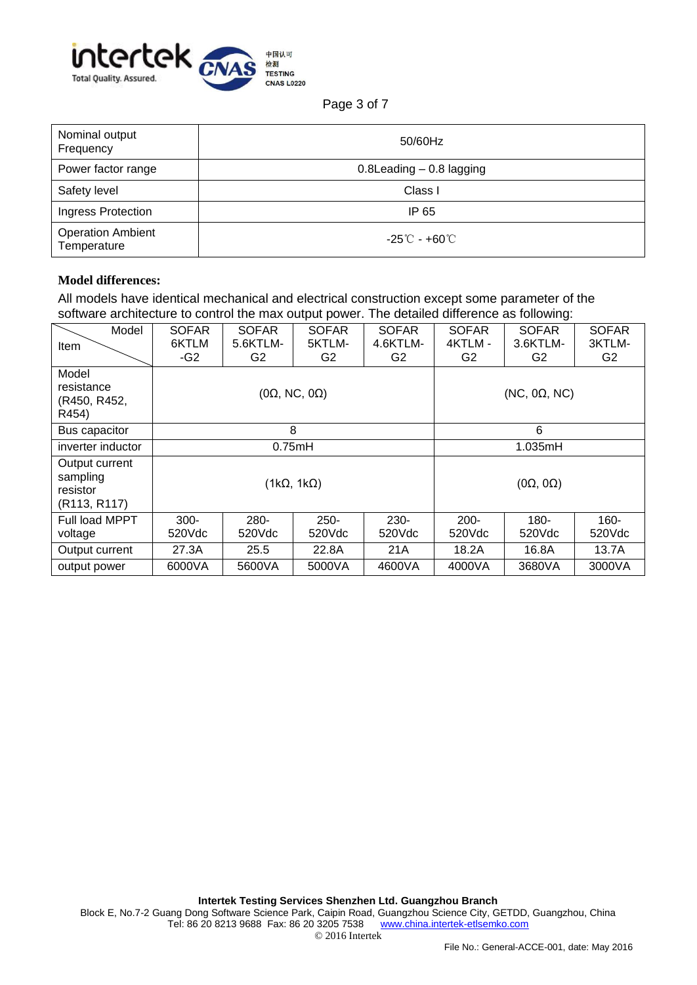

Page 3 of 7

| Nominal output<br>Frequency             | 50/60Hz                      |
|-----------------------------------------|------------------------------|
| Power factor range                      | $0.8$ Leading $-0.8$ lagging |
| Safety level                            | Class I                      |
| Ingress Protection                      | IP 65                        |
| <b>Operation Ambient</b><br>Temperature | -25℃ - <del>+</del> 60℃      |

# **Model differences:**

All models have identical mechanical and electrical construction except some parameter of the software architecture to control the max output power. The detailed difference as following:

| Model                                                  | <b>SOFAR</b>             | <b>SOFAR</b>   | <b>SOFAR</b>      | <b>SOFAR</b>         | <b>SOFAR</b>      | <b>SOFAR</b>   | <b>SOFAR</b>   |
|--------------------------------------------------------|--------------------------|----------------|-------------------|----------------------|-------------------|----------------|----------------|
| Item                                                   | 6KTLM                    | 5.6KTLM-       | 5KTLM-            | 4.6KTLM-             | 4KTLM -           | 3.6KTLM-       | 3KTLM-         |
|                                                        | $-G2$                    | G2             | G2                | G2                   | G2                | G2             | G2             |
| Model<br>resistance<br>(R450, R452,<br>R454)           | $(0\Omega, NC, 0\Omega)$ |                |                   | $(NC, 0\Omega, NC)$  |                   |                |                |
| Bus capacitor                                          | 8                        |                |                   | 6                    |                   |                |                |
| inverter inductor                                      | 0.75mH                   |                |                   | 1.035mH              |                   |                |                |
| Output current<br>sampling<br>resistor<br>(R113, R117) | $(1k\Omega, 1k\Omega)$   |                |                   | $(0\Omega, 0\Omega)$ |                   |                |                |
| Full load MPPT<br>voltage                              | 300-<br>520Vdc           | 280-<br>520Vdc | $250 -$<br>520Vdc | $230 -$<br>520Vdc    | $200 -$<br>520Vdc | 180-<br>520Vdc | 160-<br>520Vdc |
| Output current                                         | 27.3A                    | 25.5           | 22.8A             | 21A                  | 18.2A             | 16.8A          | 13.7A          |
| output power                                           | 6000VA                   | 5600VA         | 5000VA            | 4600VA               | 4000VA            | 3680VA         | 3000VA         |

Block E, No.7-2 Guang Dong Software Science Park, Caipin Road, Guangzhou Science City, GETDD, Guangzhou, China<br>Tel: 86 20 8213 9688 Fax: 86 20 3205 7538 www.china.intertek-etlsemko.com Tel: 86 20 8213 9688 Fax: 86 20 3205 7538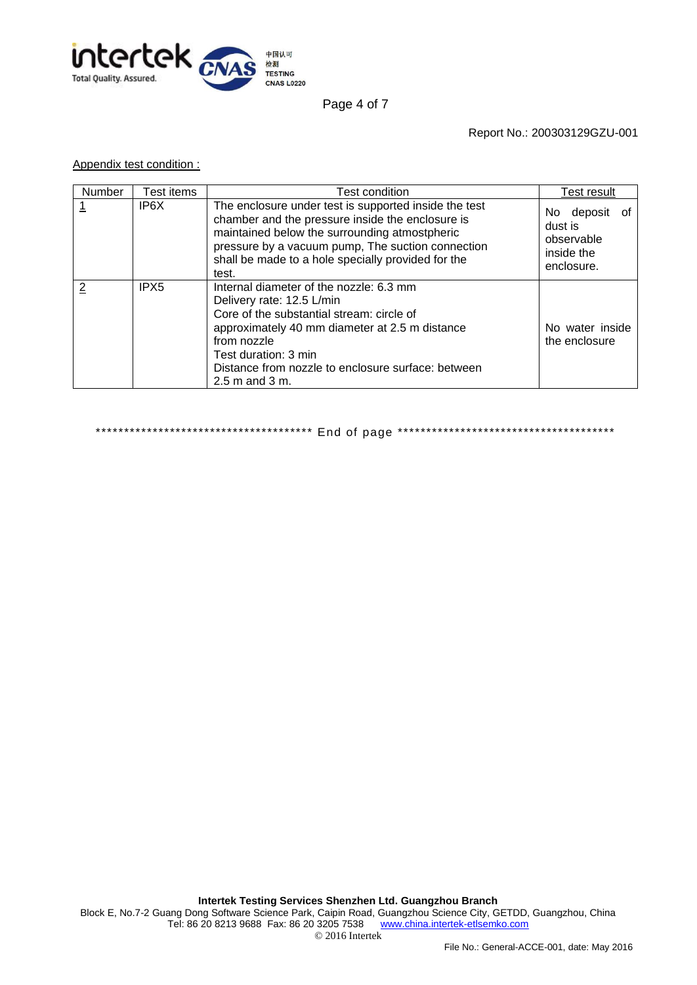

Page 4 of 7

Report No.: 200303129GZU-001

### Appendix test condition :

| Number | Test items       | Test condition                                                                                                                                                                                                                                                                         | Test result                                                           |  |
|--------|------------------|----------------------------------------------------------------------------------------------------------------------------------------------------------------------------------------------------------------------------------------------------------------------------------------|-----------------------------------------------------------------------|--|
| 1      | IP6X             | The enclosure under test is supported inside the test<br>chamber and the pressure inside the enclosure is<br>maintained below the surrounding atmostpheric<br>pressure by a vacuum pump, The suction connection<br>shall be made to a hole specially provided for the<br>test.         | No deposit<br>οt<br>dust is<br>observable<br>inside the<br>enclosure. |  |
| 2      | IPX <sub>5</sub> | Internal diameter of the nozzle: 6.3 mm<br>Delivery rate: 12.5 L/min<br>Core of the substantial stream: circle of<br>approximately 40 mm diameter at 2.5 m distance<br>from nozzle<br>Test duration: 3 min<br>Distance from nozzle to enclosure surface: between<br>$2.5$ m and $3$ m. | No water inside<br>the enclosure                                      |  |

\*\*\*\*\*\*\*\*\*\*\*\*\*\*\*\*\*\*\*\*\*\*\*\*\*\*\*\*\*\*\*\*\*\*\*\*\*\* End of page \*\*\*\*\*\*\*\*\*\*\*\*\*\*\*\*\*\*\*\*\*\*\*\*\*\*\*\*\*\*\*\*\*\*\*\*\*\*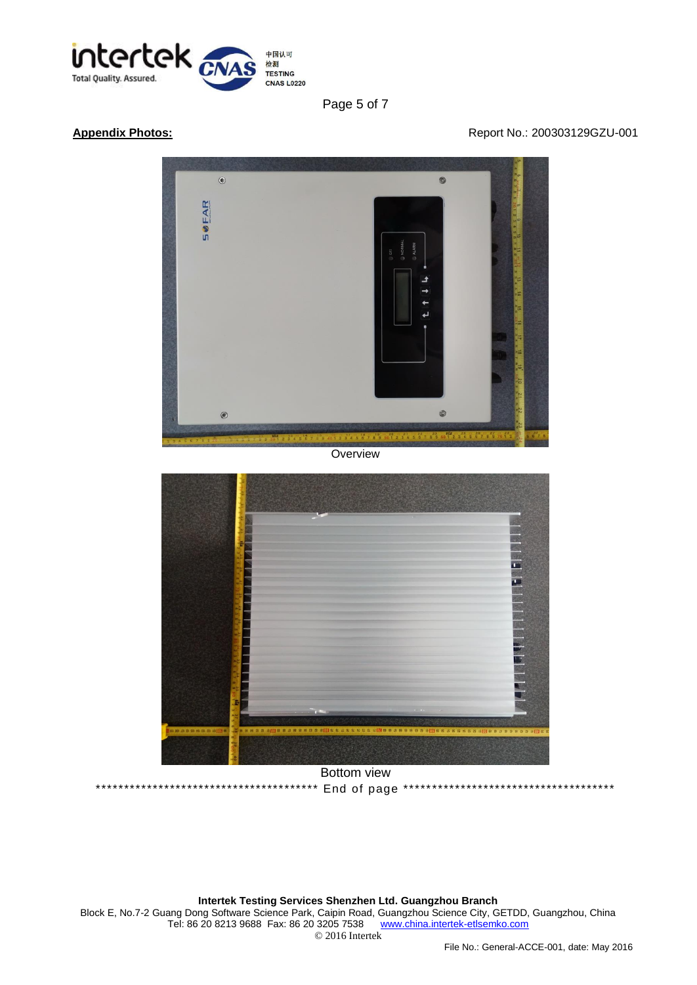

Page 5 of 7

### **Appendix Photos: Appendix Photos: Report No.: 200303129GZU-001**



**Overview** 



Bottom view \*\*\*\*\*\*\*\*\*\*\*\*\*\*\*\*\*\*\*\*\*\*\*\*\*\*\*\*\*\*\*\*\*\*\*\*\*\*\* End of page \*\*\*\*\*\*\*\*\*\*\*\*\*\*\*\*\*\*\*\*\*\*\*\*\*\*\*\*\*\*\*\*\*\*\*\*\*

**Intertek Testing Services Shenzhen Ltd. Guangzhou Branch** Block E, No.7-2 Guang Dong Software Science Park, Caipin Road, Guangzhou Science City, GETDD, Guangzhou, China Tel: 86 20 8213 9688 Fax: 86 20 3205 7538 [www.china.intertek-etlsemko.com](http://www.china.intertek-etlsemko.com/) © 2016 Intertek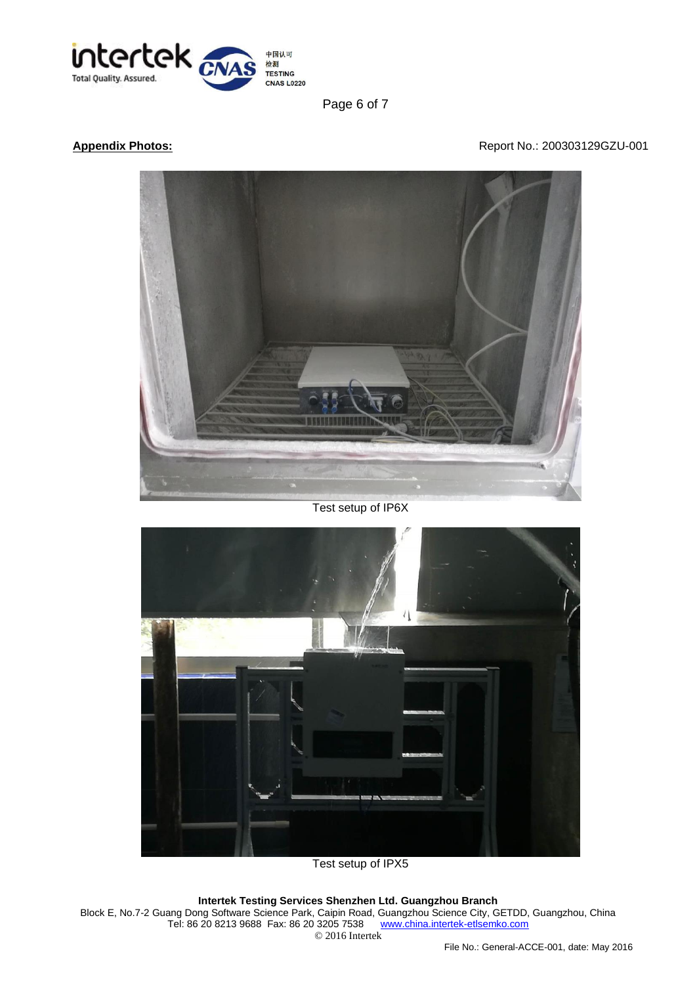

Page 6 of 7

## Appendix Photos: **Appendix Photos: Report No.: 200303129GZU-001**



Test setup of IP6X



Test setup of IPX5

### **Intertek Testing Services Shenzhen Ltd. Guangzhou Branch**

Block E, No.7-2 Guang Dong Software Science Park, Caipin Road, Guangzhou Science City, GETDD, Guangzhou, China Tel: 86 20 8213 9688 Fax: 86 20 3205 7538 [www.china.intertek-etlsemko.com](http://www.china.intertek-etlsemko.com/) © 2016 Intertek